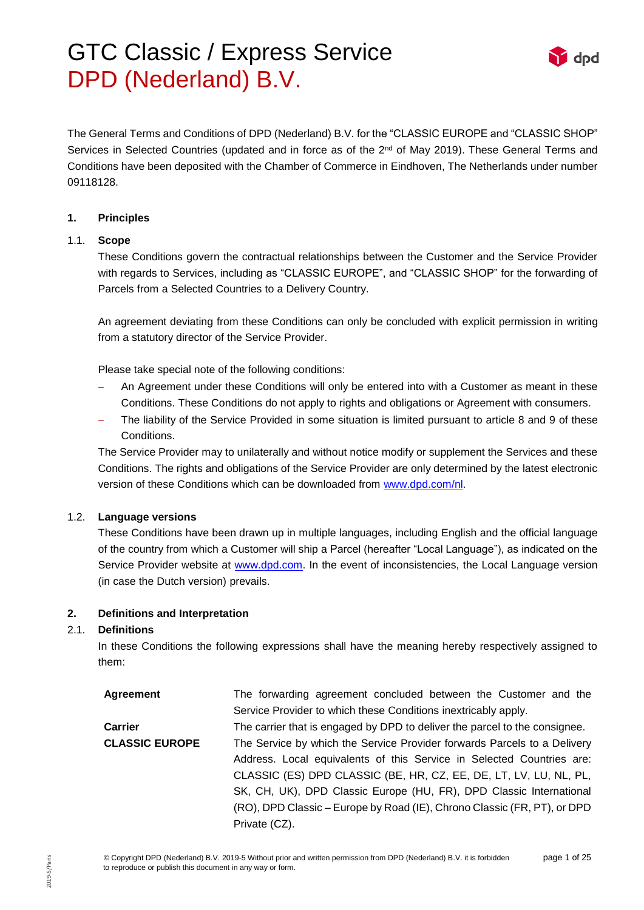

The General Terms and Conditions of DPD (Nederland) B.V. for the "CLASSIC EUROPE and "CLASSIC SHOP" Services in Selected Countries (updated and in force as of the 2<sup>nd</sup> of May 2019). These General Terms and Conditions have been deposited with the Chamber of Commerce in Eindhoven, The Netherlands under number 09118128.

#### **1. Principles**

#### 1.1. **Scope**

These Conditions govern the contractual relationships between the Customer and the Service Provider with regards to Services, including as "CLASSIC EUROPE", and "CLASSIC SHOP" for the forwarding of Parcels from a Selected Countries to a Delivery Country.

An agreement deviating from these Conditions can only be concluded with explicit permission in writing from a statutory director of the Service Provider.

Please take special note of the following conditions:

- An Agreement under these Conditions will only be entered into with a Customer as meant in these Conditions. These Conditions do not apply to rights and obligations or Agreement with consumers.
- The liability of the Service Provided in some situation is limited pursuant to article 8 and 9 of these Conditions.

The Service Provider may to unilaterally and without notice modify or supplement the Services and these Conditions. The rights and obligations of the Service Provider are only determined by the latest electronic version of these Conditions which can be downloaded from [www.dpd.com/nl.](http://www.dpd.com/nl)

## 1.2. **Language versions**

These Conditions have been drawn up in multiple languages, including English and the official language of the country from which a Customer will ship a Parcel (hereafter "Local Language"), as indicated on the Service Provider website at [www.dpd.com.](http://www.dpd.com/) In the event of inconsistencies, the Local Language version (in case the Dutch version) prevails.

## **2. Definitions and Interpretation**

#### 2.1. **Definitions**

In these Conditions the following expressions shall have the meaning hereby respectively assigned to them:

| Agreement             | The forwarding agreement concluded between the Customer and the            |  |  |
|-----------------------|----------------------------------------------------------------------------|--|--|
|                       | Service Provider to which these Conditions inextricably apply.             |  |  |
| <b>Carrier</b>        | The carrier that is engaged by DPD to deliver the parcel to the consignee. |  |  |
| <b>CLASSIC EUROPE</b> | The Service by which the Service Provider forwards Parcels to a Delivery   |  |  |
|                       | Address. Local equivalents of this Service in Selected Countries are:      |  |  |
|                       | CLASSIC (ES) DPD CLASSIC (BE, HR, CZ, EE, DE, LT, LV, LU, NL, PL,          |  |  |
|                       | SK, CH, UK), DPD Classic Europe (HU, FR), DPD Classic International        |  |  |
|                       | (RO), DPD Classic - Europe by Road (IE), Chrono Classic (FR, PT), or DPD   |  |  |
|                       | Private (CZ).                                                              |  |  |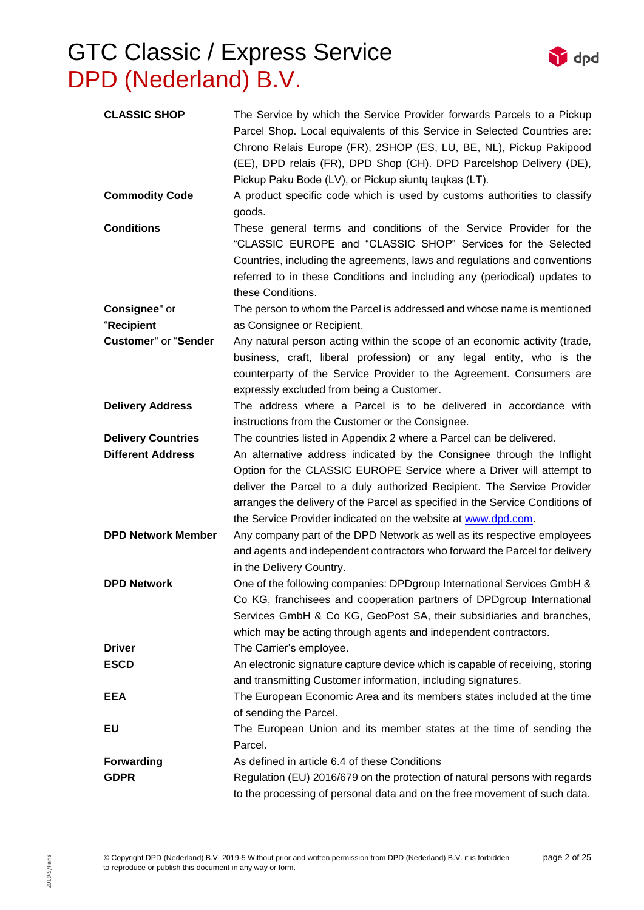

**d**<sub>nd</sub>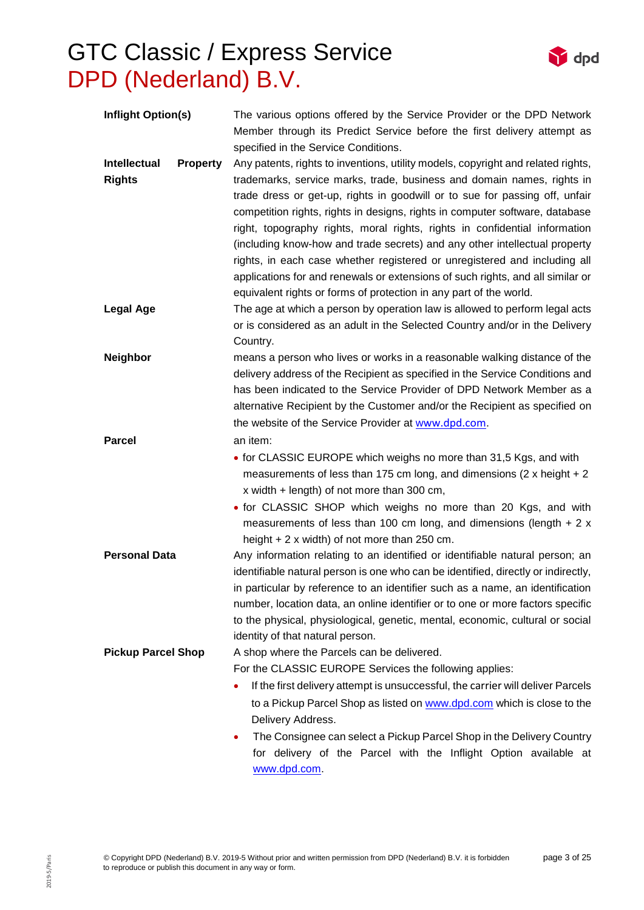

[www.dpd.com.](http://www.dpd.com/)

 $\mathbf{Y}$  dpd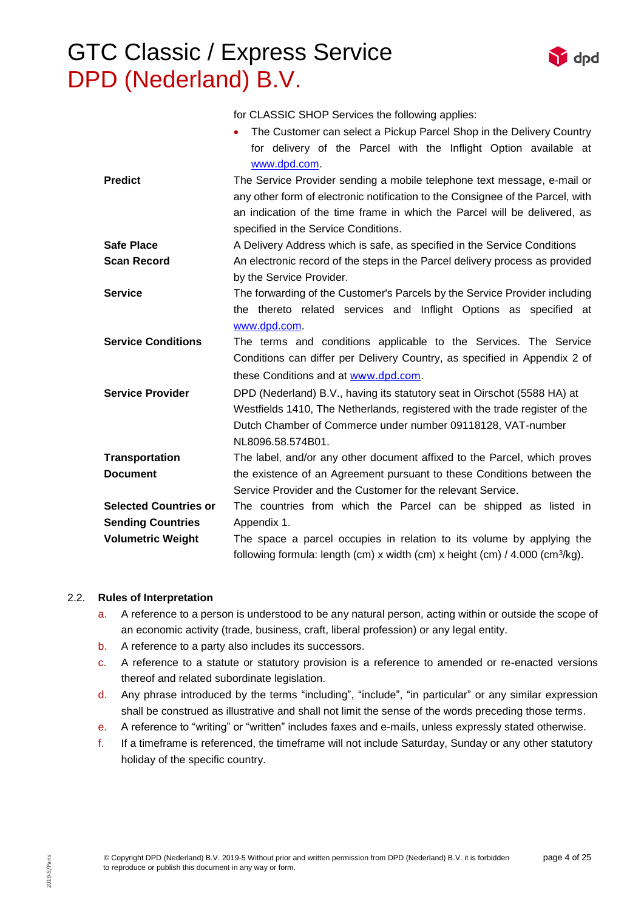for CLASSIC SHOP Services the following applies:

• The Customer can select a Pickup Parcel Shop in the Delivery Country

|                              | for delivery of the Parcel with the Inflight Option available at                           |  |  |
|------------------------------|--------------------------------------------------------------------------------------------|--|--|
|                              | www.dpd.com.                                                                               |  |  |
| <b>Predict</b>               | The Service Provider sending a mobile telephone text message, e-mail or                    |  |  |
|                              | any other form of electronic notification to the Consignee of the Parcel, with             |  |  |
|                              | an indication of the time frame in which the Parcel will be delivered, as                  |  |  |
|                              | specified in the Service Conditions.                                                       |  |  |
| <b>Safe Place</b>            | A Delivery Address which is safe, as specified in the Service Conditions                   |  |  |
| <b>Scan Record</b>           | An electronic record of the steps in the Parcel delivery process as provided               |  |  |
|                              | by the Service Provider.                                                                   |  |  |
| <b>Service</b>               | The forwarding of the Customer's Parcels by the Service Provider including                 |  |  |
|                              | the thereto related services and Inflight Options as specified at                          |  |  |
|                              | www.dpd.com                                                                                |  |  |
| <b>Service Conditions</b>    | The terms and conditions applicable to the Services. The Service                           |  |  |
|                              | Conditions can differ per Delivery Country, as specified in Appendix 2 of                  |  |  |
|                              | these Conditions and at www.dpd.com.                                                       |  |  |
| <b>Service Provider</b>      | DPD (Nederland) B.V., having its statutory seat in Oirschot (5588 HA) at                   |  |  |
|                              | Westfields 1410, The Netherlands, registered with the trade register of the                |  |  |
|                              | Dutch Chamber of Commerce under number 09118128, VAT-number                                |  |  |
|                              | NL8096.58.574B01.                                                                          |  |  |
| <b>Transportation</b>        | The label, and/or any other document affixed to the Parcel, which proves                   |  |  |
| <b>Document</b>              | the existence of an Agreement pursuant to these Conditions between the                     |  |  |
|                              | Service Provider and the Customer for the relevant Service.                                |  |  |
| <b>Selected Countries or</b> | The countries from which the Parcel can be shipped as listed in                            |  |  |
| <b>Sending Countries</b>     | Appendix 1.                                                                                |  |  |
| <b>Volumetric Weight</b>     | The space a parcel occupies in relation to its volume by applying the                      |  |  |
|                              | following formula: length (cm) x width (cm) x height (cm) / $4.000$ (cm <sup>3</sup> /kg). |  |  |

## 2.2. **Rules of Interpretation**

- a. A reference to a person is understood to be any natural person, acting within or outside the scope of an economic activity (trade, business, craft, liberal profession) or any legal entity.
- b. A reference to a party also includes its successors.
- c. A reference to a statute or statutory provision is a reference to amended or re-enacted versions thereof and related subordinate legislation.
- d. Any phrase introduced by the terms "including", "include", "in particular" or any similar expression shall be construed as illustrative and shall not limit the sense of the words preceding those terms.
- e. A reference to "writing" or "written" includes faxes and e-mails, unless expressly stated otherwise.
- f. If a timeframe is referenced, the timeframe will not include Saturday, Sunday or any other statutory holiday of the specific country.

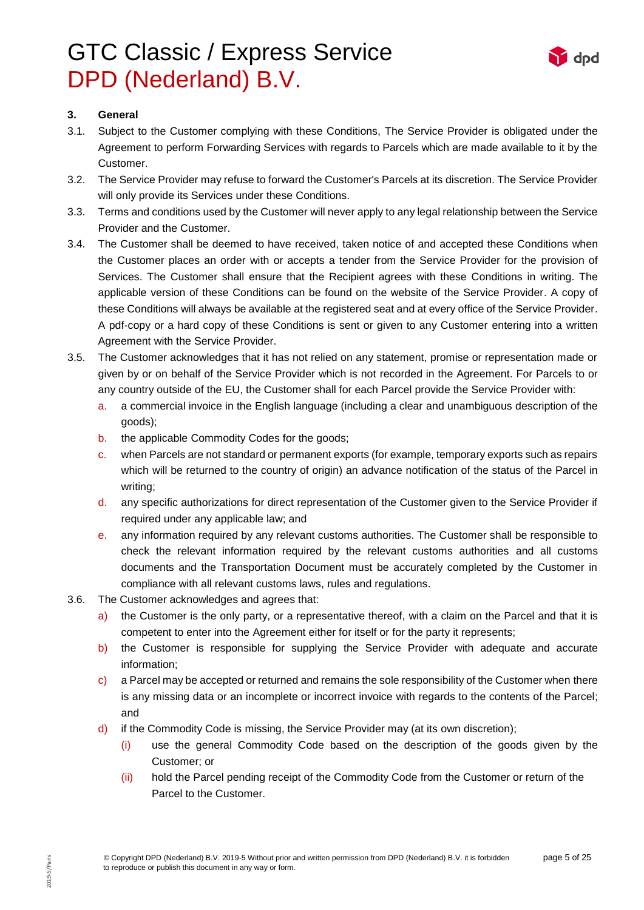

### **3. General**

- 3.1. Subject to the Customer complying with these Conditions, The Service Provider is obligated under the Agreement to perform Forwarding Services with regards to Parcels which are made available to it by the Customer.
- 3.2. The Service Provider may refuse to forward the Customer's Parcels at its discretion. The Service Provider will only provide its Services under these Conditions.
- 3.3. Terms and conditions used by the Customer will never apply to any legal relationship between the Service Provider and the Customer.
- 3.4. The Customer shall be deemed to have received, taken notice of and accepted these Conditions when the Customer places an order with or accepts a tender from the Service Provider for the provision of Services. The Customer shall ensure that the Recipient agrees with these Conditions in writing. The applicable version of these Conditions can be found on the website of the Service Provider. A copy of these Conditions will always be available at the registered seat and at every office of the Service Provider. A pdf-copy or a hard copy of these Conditions is sent or given to any Customer entering into a written Agreement with the Service Provider.
- 3.5. The Customer acknowledges that it has not relied on any statement, promise or representation made or given by or on behalf of the Service Provider which is not recorded in the Agreement. For Parcels to or any country outside of the EU, the Customer shall for each Parcel provide the Service Provider with:
	- a. a commercial invoice in the English language (including a clear and unambiguous description of the goods);
	- b. the applicable Commodity Codes for the goods;
	- c. when Parcels are not standard or permanent exports (for example, temporary exports such as repairs which will be returned to the country of origin) an advance notification of the status of the Parcel in writing;
	- d. any specific authorizations for direct representation of the Customer given to the Service Provider if required under any applicable law; and
	- e. any information required by any relevant customs authorities. The Customer shall be responsible to check the relevant information required by the relevant customs authorities and all customs documents and the Transportation Document must be accurately completed by the Customer in compliance with all relevant customs laws, rules and regulations.
- 3.6. The Customer acknowledges and agrees that:
	- a) the Customer is the only party, or a representative thereof, with a claim on the Parcel and that it is competent to enter into the Agreement either for itself or for the party it represents;
	- b) the Customer is responsible for supplying the Service Provider with adequate and accurate information;
	- c) a Parcel may be accepted or returned and remains the sole responsibility of the Customer when there is any missing data or an incomplete or incorrect invoice with regards to the contents of the Parcel; and
	- d) if the Commodity Code is missing, the Service Provider may (at its own discretion);
		- (i) use the general Commodity Code based on the description of the goods given by the Customer; or
		- (ii) hold the Parcel pending receipt of the Commodity Code from the Customer or return of the Parcel to the Customer.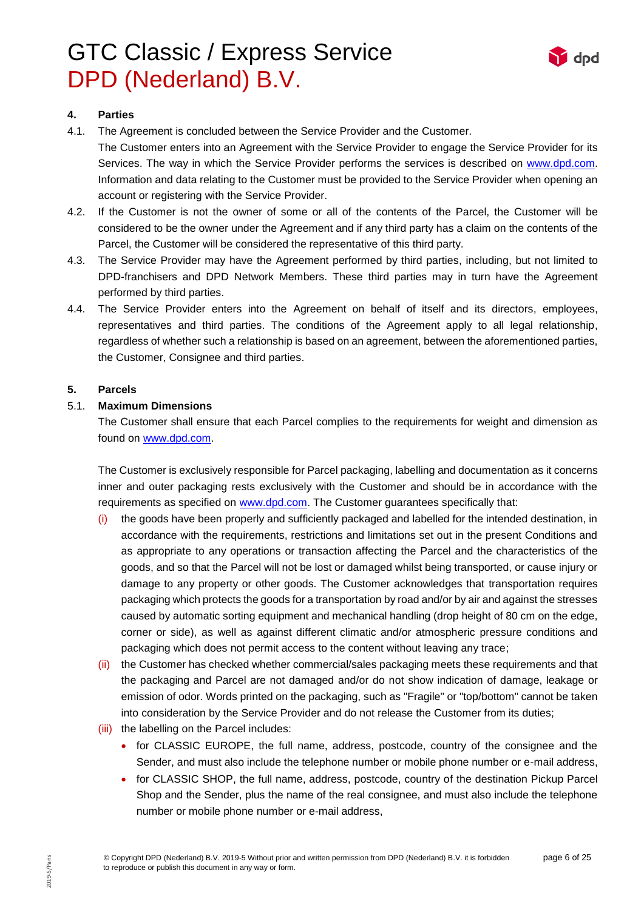

## **4. Parties**

- 4.1. The Agreement is concluded between the Service Provider and the Customer. The Customer enters into an Agreement with the Service Provider to engage the Service Provider for its Services. The way in which the Service Provider performs the services is described on [www.dpd.com.](http://www.dpd.com/) Information and data relating to the Customer must be provided to the Service Provider when opening an account or registering with the Service Provider.
- 4.2. If the Customer is not the owner of some or all of the contents of the Parcel, the Customer will be considered to be the owner under the Agreement and if any third party has a claim on the contents of the Parcel, the Customer will be considered the representative of this third party.
- 4.3. The Service Provider may have the Agreement performed by third parties, including, but not limited to DPD-franchisers and DPD Network Members. These third parties may in turn have the Agreement performed by third parties.
- 4.4. The Service Provider enters into the Agreement on behalf of itself and its directors, employees, representatives and third parties. The conditions of the Agreement apply to all legal relationship, regardless of whether such a relationship is based on an agreement, between the aforementioned parties, the Customer, Consignee and third parties.

### **5. Parcels**

### 5.1. **Maximum Dimensions**

The Customer shall ensure that each Parcel complies to the requirements for weight and dimension as found on [www.dpd.com.](http://www.dpd.com/)

The Customer is exclusively responsible for Parcel packaging, labelling and documentation as it concerns inner and outer packaging rests exclusively with the Customer and should be in accordance with the requirements as specified on [www.dpd.com.](http://www.dpd.com/) The Customer guarantees specifically that:

- $(i)$  the goods have been properly and sufficiently packaged and labelled for the intended destination, in accordance with the requirements, restrictions and limitations set out in the present Conditions and as appropriate to any operations or transaction affecting the Parcel and the characteristics of the goods, and so that the Parcel will not be lost or damaged whilst being transported, or cause injury or damage to any property or other goods. The Customer acknowledges that transportation requires packaging which protects the goods for a transportation by road and/or by air and against the stresses caused by automatic sorting equipment and mechanical handling (drop height of 80 cm on the edge, corner or side), as well as against different climatic and/or atmospheric pressure conditions and packaging which does not permit access to the content without leaving any trace;
- (ii) the Customer has checked whether commercial/sales packaging meets these requirements and that the packaging and Parcel are not damaged and/or do not show indication of damage, leakage or emission of odor. Words printed on the packaging, such as "Fragile" or "top/bottom" cannot be taken into consideration by the Service Provider and do not release the Customer from its duties;
- (iii) the labelling on the Parcel includes:
	- for CLASSIC EUROPE, the full name, address, postcode, country of the consignee and the Sender, and must also include the telephone number or mobile phone number or e-mail address,
	- for CLASSIC SHOP, the full name, address, postcode, country of the destination Pickup Parcel Shop and the Sender, plus the name of the real consignee, and must also include the telephone number or mobile phone number or e-mail address,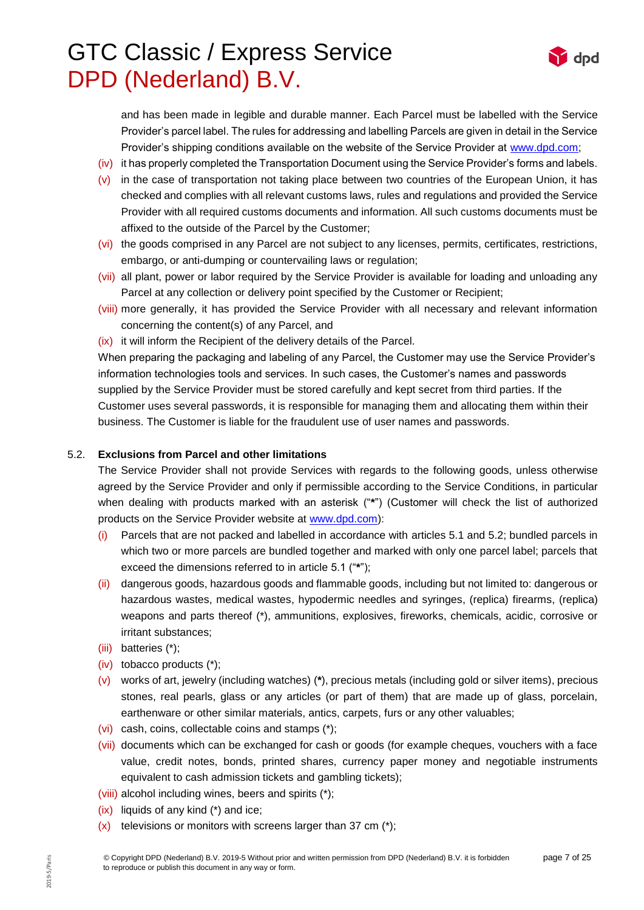

and has been made in legible and durable manner. Each Parcel must be labelled with the Service Provider's parcel label. The rules for addressing and labelling Parcels are given in detail in the Service Provider's shipping conditions available on the website of the Service Provider at [www.dpd.com;](http://www.dpd.com/)

- (iv) it has properly completed the Transportation Document using the Service Provider's forms and labels.
- $(v)$  in the case of transportation not taking place between two countries of the European Union, it has checked and complies with all relevant customs laws, rules and regulations and provided the Service Provider with all required customs documents and information. All such customs documents must be affixed to the outside of the Parcel by the Customer;
- (vi) the goods comprised in any Parcel are not subject to any licenses, permits, certificates, restrictions, embargo, or anti-dumping or countervailing laws or regulation;
- (vii) all plant, power or labor required by the Service Provider is available for loading and unloading any Parcel at any collection or delivery point specified by the Customer or Recipient;
- (viii) more generally, it has provided the Service Provider with all necessary and relevant information concerning the content(s) of any Parcel, and
- (ix) it will inform the Recipient of the delivery details of the Parcel.

When preparing the packaging and labeling of any Parcel, the Customer may use the Service Provider's information technologies tools and services. In such cases, the Customer's names and passwords supplied by the Service Provider must be stored carefully and kept secret from third parties. If the Customer uses several passwords, it is responsible for managing them and allocating them within their business. The Customer is liable for the fraudulent use of user names and passwords.

### 5.2. **Exclusions from Parcel and other limitations**

The Service Provider shall not provide Services with regards to the following goods, unless otherwise agreed by the Service Provider and only if permissible according to the Service Conditions, in particular when dealing with products marked with an asterisk ("**\***") (Customer will check the list of authorized products on the Service Provider website at [www.dpd.com\)](http://www.dpd.com/):

- (i) Parcels that are not packed and labelled in accordance with articles 5.1 and 5.2; bundled parcels in which two or more parcels are bundled together and marked with only one parcel label; parcels that exceed the dimensions referred to in article 5.1 ("**\***");
- (ii) dangerous goods, hazardous goods and flammable goods, including but not limited to: dangerous or hazardous wastes, medical wastes, hypodermic needles and syringes, (replica) firearms, (replica) weapons and parts thereof (\*), ammunitions, explosives, fireworks, chemicals, acidic, corrosive or irritant substances;
- (iii) batteries (\*);
- (iv) tobacco products (\*);
- (v) works of art, jewelry (including watches) (**\***), precious metals (including gold or silver items), precious stones, real pearls, glass or any articles (or part of them) that are made up of glass, porcelain, earthenware or other similar materials, antics, carpets, furs or any other valuables;
- (vi) cash, coins, collectable coins and stamps (\*);
- (vii) documents which can be exchanged for cash or goods (for example cheques, vouchers with a face value, credit notes, bonds, printed shares, currency paper money and negotiable instruments equivalent to cash admission tickets and gambling tickets);
- (viii) alcohol including wines, beers and spirits (\*);
- (ix) liquids of any kind (\*) and ice;
- $(x)$  televisions or monitors with screens larger than 37 cm  $(*)$ ;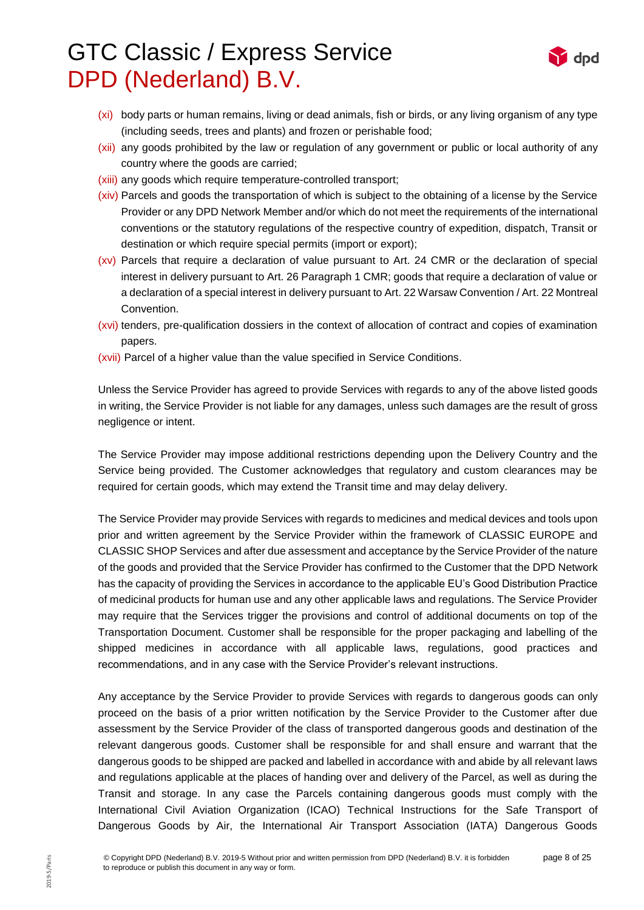

- (xi) body parts or human remains, living or dead animals, fish or birds, or any living organism of any type (including seeds, trees and plants) and frozen or perishable food;
- (xii) any goods prohibited by the law or regulation of any government or public or local authority of any country where the goods are carried;
- (xiii) any goods which require temperature-controlled transport;
- (xiv) Parcels and goods the transportation of which is subject to the obtaining of a license by the Service Provider or any DPD Network Member and/or which do not meet the requirements of the international conventions or the statutory regulations of the respective country of expedition, dispatch, Transit or destination or which require special permits (import or export);
- (xv) Parcels that require a declaration of value pursuant to Art. 24 CMR or the declaration of special interest in delivery pursuant to Art. 26 Paragraph 1 CMR; goods that require a declaration of value or a declaration of a special interest in delivery pursuant to Art. 22 Warsaw Convention / Art. 22 Montreal Convention.
- (xvi) tenders, pre-qualification dossiers in the context of allocation of contract and copies of examination papers.
- (xvii) Parcel of a higher value than the value specified in Service Conditions.

Unless the Service Provider has agreed to provide Services with regards to any of the above listed goods in writing, the Service Provider is not liable for any damages, unless such damages are the result of gross negligence or intent.

The Service Provider may impose additional restrictions depending upon the Delivery Country and the Service being provided. The Customer acknowledges that regulatory and custom clearances may be required for certain goods, which may extend the Transit time and may delay delivery.

The Service Provider may provide Services with regards to medicines and medical devices and tools upon prior and written agreement by the Service Provider within the framework of CLASSIC EUROPE and CLASSIC SHOP Services and after due assessment and acceptance by the Service Provider of the nature of the goods and provided that the Service Provider has confirmed to the Customer that the DPD Network has the capacity of providing the Services in accordance to the applicable EU's Good Distribution Practice of medicinal products for human use and any other applicable laws and regulations. The Service Provider may require that the Services trigger the provisions and control of additional documents on top of the Transportation Document. Customer shall be responsible for the proper packaging and labelling of the shipped medicines in accordance with all applicable laws, regulations, good practices and recommendations, and in any case with the Service Provider's relevant instructions.

Any acceptance by the Service Provider to provide Services with regards to dangerous goods can only proceed on the basis of a prior written notification by the Service Provider to the Customer after due assessment by the Service Provider of the class of transported dangerous goods and destination of the relevant dangerous goods. Customer shall be responsible for and shall ensure and warrant that the dangerous goods to be shipped are packed and labelled in accordance with and abide by all relevant laws and regulations applicable at the places of handing over and delivery of the Parcel, as well as during the Transit and storage. In any case the Parcels containing dangerous goods must comply with the International Civil Aviation Organization (ICAO) Technical Instructions for the Safe Transport of Dangerous Goods by Air, the International Air Transport Association (IATA) Dangerous Goods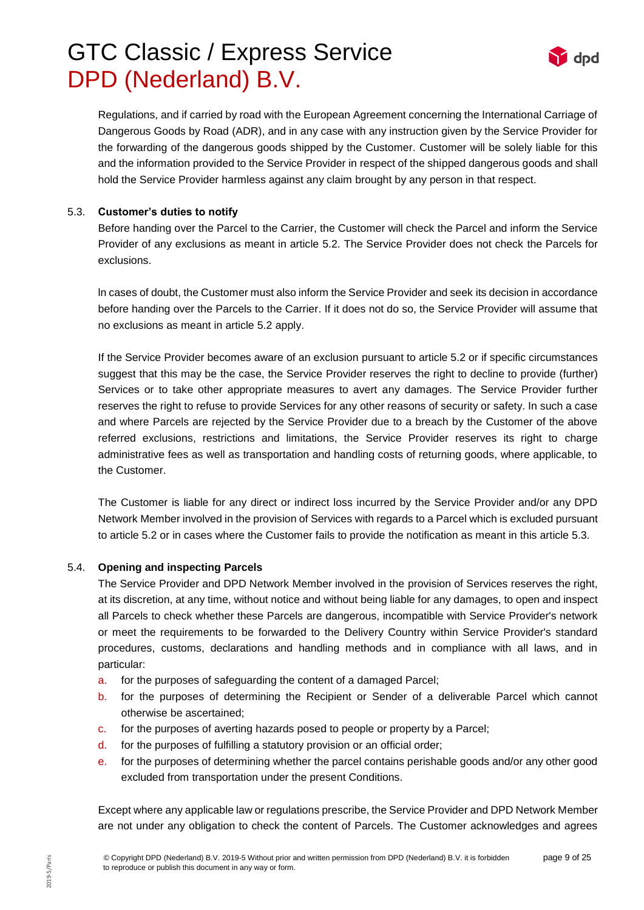

Regulations, and if carried by road with the European Agreement concerning the International Carriage of Dangerous Goods by Road (ADR), and in any case with any instruction given by the Service Provider for the forwarding of the dangerous goods shipped by the Customer. Customer will be solely liable for this and the information provided to the Service Provider in respect of the shipped dangerous goods and shall hold the Service Provider harmless against any claim brought by any person in that respect.

### 5.3. **Customer's duties to notify**

Before handing over the Parcel to the Carrier, the Customer will check the Parcel and inform the Service Provider of any exclusions as meant in article 5.2. The Service Provider does not check the Parcels for exclusions.

ln cases of doubt, the Customer must also inform the Service Provider and seek its decision in accordance before handing over the Parcels to the Carrier. If it does not do so, the Service Provider will assume that no exclusions as meant in article 5.2 apply.

If the Service Provider becomes aware of an exclusion pursuant to article 5.2 or if specific circumstances suggest that this may be the case, the Service Provider reserves the right to decline to provide (further) Services or to take other appropriate measures to avert any damages. The Service Provider further reserves the right to refuse to provide Services for any other reasons of security or safety. In such a case and where Parcels are rejected by the Service Provider due to a breach by the Customer of the above referred exclusions, restrictions and limitations, the Service Provider reserves its right to charge administrative fees as well as transportation and handling costs of returning goods, where applicable, to the Customer.

The Customer is liable for any direct or indirect loss incurred by the Service Provider and/or any DPD Network Member involved in the provision of Services with regards to a Parcel which is excluded pursuant to article 5.2 or in cases where the Customer fails to provide the notification as meant in this article 5.3.

## 5.4. **Opening and inspecting Parcels**

The Service Provider and DPD Network Member involved in the provision of Services reserves the right, at its discretion, at any time, without notice and without being liable for any damages, to open and inspect all Parcels to check whether these Parcels are dangerous, incompatible with Service Provider's network or meet the requirements to be forwarded to the Delivery Country within Service Provider's standard procedures, customs, declarations and handling methods and in compliance with all laws, and in particular:

- a. for the purposes of safeguarding the content of a damaged Parcel;
- b. for the purposes of determining the Recipient or Sender of a deliverable Parcel which cannot otherwise be ascertained;
- c. for the purposes of averting hazards posed to people or property by a Parcel;
- d. for the purposes of fulfilling a statutory provision or an official order;
- e. for the purposes of determining whether the parcel contains perishable goods and/or any other good excluded from transportation under the present Conditions.

Except where any applicable law or regulations prescribe, the Service Provider and DPD Network Member are not under any obligation to check the content of Parcels. The Customer acknowledges and agrees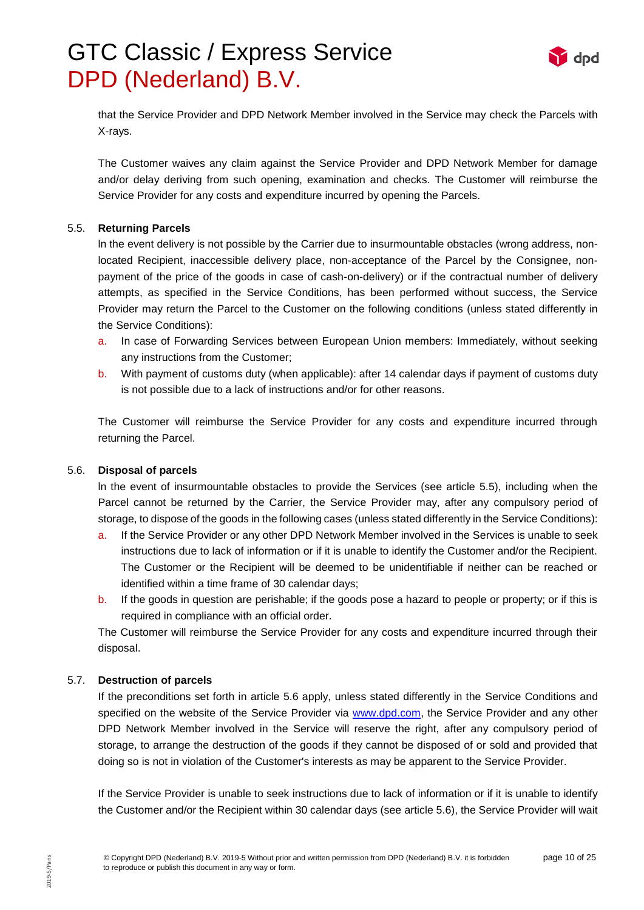

that the Service Provider and DPD Network Member involved in the Service may check the Parcels with X-rays.

The Customer waives any claim against the Service Provider and DPD Network Member for damage and/or delay deriving from such opening, examination and checks. The Customer will reimburse the Service Provider for any costs and expenditure incurred by opening the Parcels.

#### 5.5. **Returning Parcels**

ln the event delivery is not possible by the Carrier due to insurmountable obstacles (wrong address, nonlocated Recipient, inaccessible delivery place, non-acceptance of the Parcel by the Consignee, nonpayment of the price of the goods in case of cash-on-delivery) or if the contractual number of delivery attempts, as specified in the Service Conditions, has been performed without success, the Service Provider may return the Parcel to the Customer on the following conditions (unless stated differently in the Service Conditions):

- a. In case of Forwarding Services between European Union members: Immediately, without seeking any instructions from the Customer;
- b. With payment of customs duty (when applicable): after 14 calendar days if payment of customs duty is not possible due to a lack of instructions and/or for other reasons.

The Customer will reimburse the Service Provider for any costs and expenditure incurred through returning the Parcel.

#### <span id="page-9-0"></span>5.6. **Disposal of parcels**

ln the event of insurmountable obstacles to provide the Services (see article 5.5), including when the Parcel cannot be returned by the Carrier, the Service Provider may, after any compulsory period of storage, to dispose of the goods in the following cases (unless stated differently in the Service Conditions):

- a. If the Service Provider or any other DPD Network Member involved in the Services is unable to seek instructions due to lack of information or if it is unable to identify the Customer and/or the Recipient. The Customer or the Recipient will be deemed to be unidentifiable if neither can be reached or identified within a time frame of 30 calendar days;
- b. If the goods in question are perishable; if the goods pose a hazard to people or property; or if this is required in compliance with an official order.

The Customer will reimburse the Service Provider for any costs and expenditure incurred through their disposal.

#### 5.7. **Destruction of parcels**

If the preconditions set forth in article 5.6 apply, unless stated differently in the Service Conditions and specified on the website of the Service Provider via [www.dpd.com,](http://www.dpd.com/) the Service Provider and any other DPD Network Member involved in the Service will reserve the right, after any compulsory period of storage, to arrange the destruction of the goods if they cannot be disposed of or sold and provided that doing so is not in violation of the Customer's interests as may be apparent to the Service Provider.

If the Service Provider is unable to seek instructions due to lack of information or if it is unable to identify the Customer and/or the Recipient within 30 calendar days (see article [5.6\)](#page-9-0), the Service Provider will wait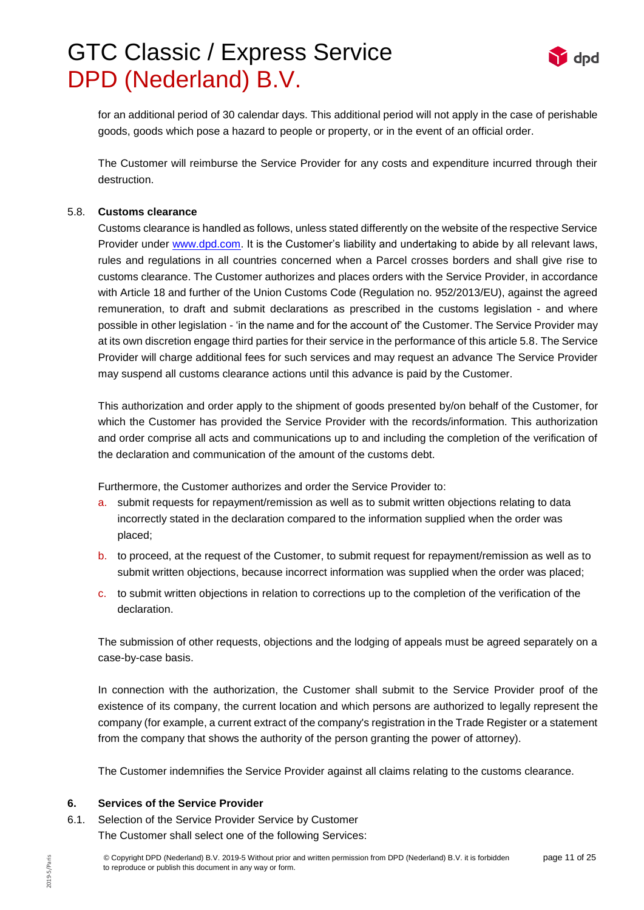

for an additional period of 30 calendar days. This additional period will not apply in the case of perishable goods, goods which pose a hazard to people or property, or in the event of an official order.

The Customer will reimburse the Service Provider for any costs and expenditure incurred through their destruction.

#### 5.8. **Customs clearance**

Customs clearance is handled as follows, unless stated differently on the website of the respective Service Provider under [www.dpd.com.](http://www.dpd.com/) It is the Customer's liability and undertaking to abide by all relevant laws, rules and regulations in all countries concerned when a Parcel crosses borders and shall give rise to customs clearance. The Customer authorizes and places orders with the Service Provider, in accordance with Article 18 and further of the Union Customs Code (Regulation no. 952/2013/EU), against the agreed remuneration, to draft and submit declarations as prescribed in the customs legislation - and where possible in other legislation - 'in the name and for the account of' the Customer. The Service Provider may at its own discretion engage third parties for their service in the performance of this article 5.8. The Service Provider will charge additional fees for such services and may request an advance The Service Provider may suspend all customs clearance actions until this advance is paid by the Customer.

This authorization and order apply to the shipment of goods presented by/on behalf of the Customer, for which the Customer has provided the Service Provider with the records/information. This authorization and order comprise all acts and communications up to and including the completion of the verification of the declaration and communication of the amount of the customs debt.

Furthermore, the Customer authorizes and order the Service Provider to:

- a. submit requests for repayment/remission as well as to submit written objections relating to data incorrectly stated in the declaration compared to the information supplied when the order was placed;
- b. to proceed, at the request of the Customer, to submit request for repayment/remission as well as to submit written objections, because incorrect information was supplied when the order was placed;
- c. to submit written objections in relation to corrections up to the completion of the verification of the declaration.

The submission of other requests, objections and the lodging of appeals must be agreed separately on a case-by-case basis.

In connection with the authorization, the Customer shall submit to the Service Provider proof of the existence of its company, the current location and which persons are authorized to legally represent the company (for example, a current extract of the company's registration in the Trade Register or a statement from the company that shows the authority of the person granting the power of attorney).

The Customer indemnifies the Service Provider against all claims relating to the customs clearance.

#### **6. Services of the Service Provider**

6.1. Selection of the Service Provider Service by Customer The Customer shall select one of the following Services: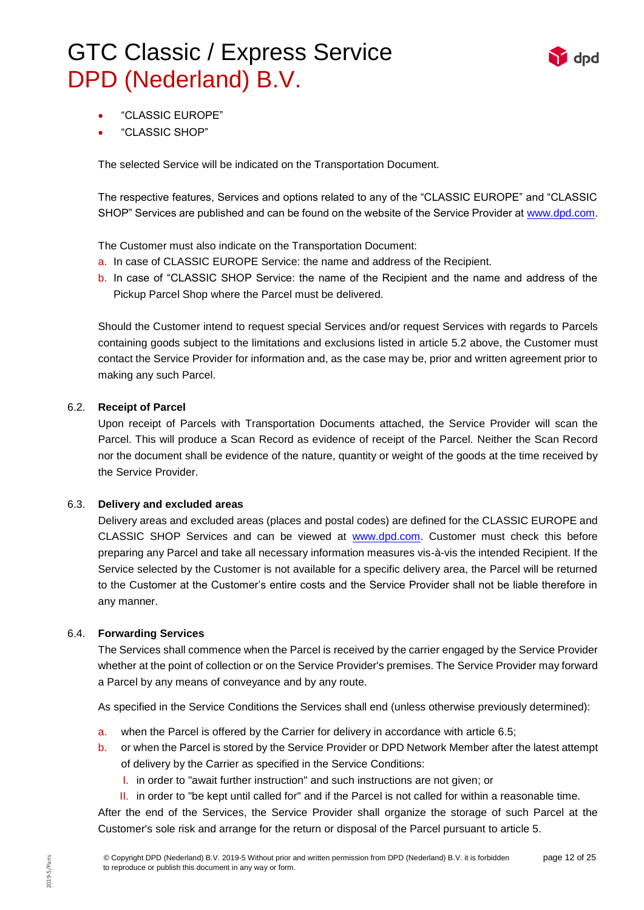

- "CLASSIC EUROPE"
- "CLASSIC SHOP"

The selected Service will be indicated on the Transportation Document.

The respective features, Services and options related to any of the "CLASSIC EUROPE" and "CLASSIC SHOP" Services are published and can be found on the website of the Service Provider at [www.dpd.com.](http://www.dpd.com/)

The Customer must also indicate on the Transportation Document:

- a. In case of CLASSIC EUROPE Service: the name and address of the Recipient.
- b. In case of "CLASSIC SHOP Service: the name of the Recipient and the name and address of the Pickup Parcel Shop where the Parcel must be delivered.

Should the Customer intend to request special Services and/or request Services with regards to Parcels containing goods subject to the limitations and exclusions listed in article 5.2 above, the Customer must contact the Service Provider for information and, as the case may be, prior and written agreement prior to making any such Parcel.

### 6.2. **Receipt of Parcel**

Upon receipt of Parcels with Transportation Documents attached, the Service Provider will scan the Parcel. This will produce a Scan Record as evidence of receipt of the Parcel. Neither the Scan Record nor the document shall be evidence of the nature, quantity or weight of the goods at the time received by the Service Provider.

#### 6.3. **Delivery and excluded areas**

Delivery areas and excluded areas (places and postal codes) are defined for the CLASSIC EUROPE and CLASSIC SHOP Services and can be viewed at [www.dpd.com.](http://www.dpd.com/) Customer must check this before preparing any Parcel and take all necessary information measures vis-à-vis the intended Recipient. If the Service selected by the Customer is not available for a specific delivery area, the Parcel will be returned to the Customer at the Customer's entire costs and the Service Provider shall not be liable therefore in any manner.

#### 6.4. **Forwarding Services**

The Services shall commence when the Parcel is received by the carrier engaged by the Service Provider whether at the point of collection or on the Service Provider's premises. The Service Provider may forward a Parcel by any means of conveyance and by any route.

As specified in the Service Conditions the Services shall end (unless otherwise previously determined):

- a. when the Parcel is offered by the Carrier for delivery in accordance with article 6.5;
- b. or when the Parcel is stored by the Service Provider or DPD Network Member after the latest attempt of delivery by the Carrier as specified in the Service Conditions:
	- I. in order to "await further instruction" and such instructions are not given; or
	- II. in order to "be kept until called for" and if the Parcel is not called for within a reasonable time.

After the end of the Services, the Service Provider shall organize the storage of such Parcel at the Customer's sole risk and arrange for the return or disposal of the Parcel pursuant to article 5.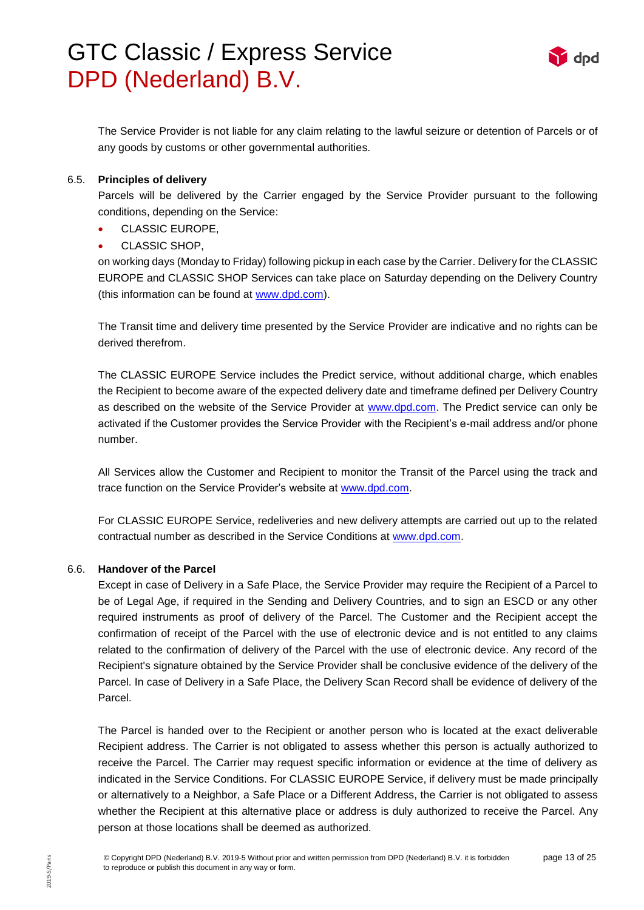

The Service Provider is not liable for any claim relating to the lawful seizure or detention of Parcels or of any goods by customs or other governmental authorities.

#### 6.5. **Principles of delivery**

Parcels will be delivered by the Carrier engaged by the Service Provider pursuant to the following conditions, depending on the Service:

- CLASSIC EUROPE,
- CLASSIC SHOP,

on working days (Monday to Friday) following pickup in each case by the Carrier. Delivery for the CLASSIC EUROPE and CLASSIC SHOP Services can take place on Saturday depending on the Delivery Country (this information can be found at [www.dpd.com\)](http://www.dpd.com/).

The Transit time and delivery time presented by the Service Provider are indicative and no rights can be derived therefrom.

The CLASSIC EUROPE Service includes the Predict service, without additional charge, which enables the Recipient to become aware of the expected delivery date and timeframe defined per Delivery Country as described on the website of the Service Provider at [www.dpd.com.](http://www.dpd.com/) The Predict service can only be activated if the Customer provides the Service Provider with the Recipient's e-mail address and/or phone number.

All Services allow the Customer and Recipient to monitor the Transit of the Parcel using the track and trace function on the Service Provider's website at [www.dpd.com.](http://www.dpd.com/)

For CLASSIC EUROPE Service, redeliveries and new delivery attempts are carried out up to the related contractual number as described in the Service Conditions at [www.dpd.com.](http://www.dpd.com/)

### 6.6. **Handover of the Parcel**

Except in case of Delivery in a Safe Place, the Service Provider may require the Recipient of a Parcel to be of Legal Age, if required in the Sending and Delivery Countries, and to sign an ESCD or any other required instruments as proof of delivery of the Parcel. The Customer and the Recipient accept the confirmation of receipt of the Parcel with the use of electronic device and is not entitled to any claims related to the confirmation of delivery of the Parcel with the use of electronic device. Any record of the Recipient's signature obtained by the Service Provider shall be conclusive evidence of the delivery of the Parcel. In case of Delivery in a Safe Place, the Delivery Scan Record shall be evidence of delivery of the Parcel.

The Parcel is handed over to the Recipient or another person who is located at the exact deliverable Recipient address. The Carrier is not obligated to assess whether this person is actually authorized to receive the Parcel. The Carrier may request specific information or evidence at the time of delivery as indicated in the Service Conditions. For CLASSIC EUROPE Service, if delivery must be made principally or alternatively to a Neighbor, a Safe Place or a Different Address, the Carrier is not obligated to assess whether the Recipient at this alternative place or address is duly authorized to receive the Parcel. Any person at those locations shall be deemed as authorized.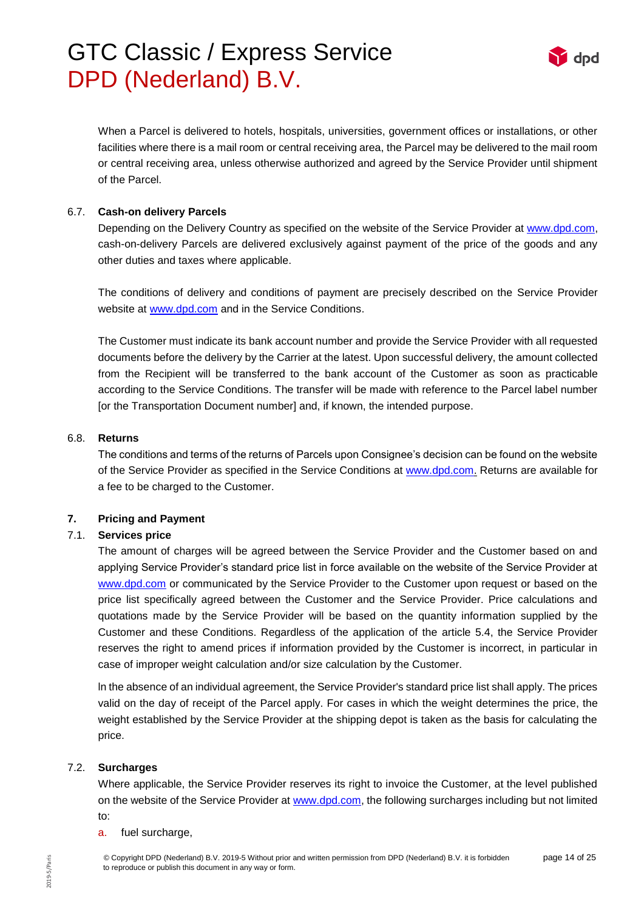

When a Parcel is delivered to hotels, hospitals, universities, government offices or installations, or other facilities where there is a mail room or central receiving area, the Parcel may be delivered to the mail room or central receiving area, unless otherwise authorized and agreed by the Service Provider until shipment of the Parcel.

### 6.7. **Cash-on delivery Parcels**

Depending on the Delivery Country as specified on the website of the Service Provider at [www.dpd.com,](http://www.dpd.com/) cash-on-delivery Parcels are delivered exclusively against payment of the price of the goods and any other duties and taxes where applicable.

The conditions of delivery and conditions of payment are precisely described on the Service Provider website at [www.dpd.com](http://www.dpd.com/) and in the Service Conditions.

The Customer must indicate its bank account number and provide the Service Provider with all requested documents before the delivery by the Carrier at the latest. Upon successful delivery, the amount collected from the Recipient will be transferred to the bank account of the Customer as soon as practicable according to the Service Conditions. The transfer will be made with reference to the Parcel label number [or the Transportation Document number] and, if known, the intended purpose.

#### 6.8. **Returns**

The conditions and terms of the returns of Parcels upon Consignee's decision can be found on the website of the Service Provider as specified in the Service Conditions at [www.dpd.com.](http://www.dpd.com/) Returns are available for a fee to be charged to the Customer.

## **7. Pricing and Payment**

## 7.1. **Services price**

The amount of charges will be agreed between the Service Provider and the Customer based on and applying Service Provider's standard price list in force available on the website of the Service Provider at [www.dpd.com](http://www.dpd.com/) or communicated by the Service Provider to the Customer upon request or based on the price list specifically agreed between the Customer and the Service Provider. Price calculations and quotations made by the Service Provider will be based on the quantity information supplied by the Customer and these Conditions. Regardless of the application of the article 5.4, the Service Provider reserves the right to amend prices if information provided by the Customer is incorrect, in particular in case of improper weight calculation and/or size calculation by the Customer.

ln the absence of an individual agreement, the Service Provider's standard price list shall apply. The prices valid on the day of receipt of the Parcel apply. For cases in which the weight determines the price, the weight established by the Service Provider at the shipping depot is taken as the basis for calculating the price.

#### 7.2. **Surcharges**

Where applicable, the Service Provider reserves its right to invoice the Customer, at the level published on the website of the Service Provider at [www.dpd.com,](http://www.dpd.com/) the following surcharges including but not limited to:

#### a. fuel surcharge,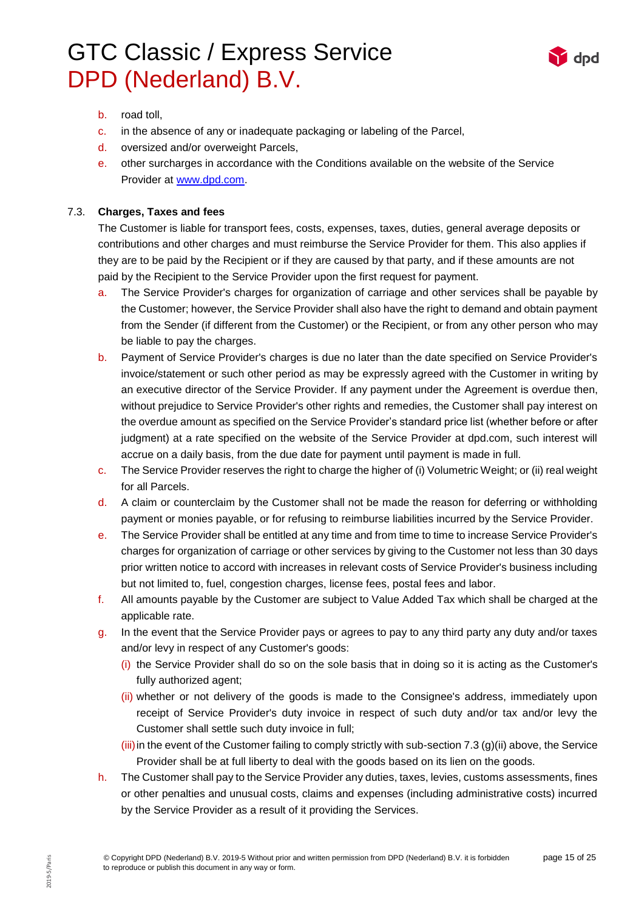

- b. road toll,
- c. in the absence of any or inadequate packaging or labeling of the Parcel,
- d. oversized and/or overweight Parcels,
- e. other surcharges in accordance with the Conditions available on the website of the Service Provider at [www.dpd.com.](http://www.dpd.com/)

#### 7.3. **Charges, Taxes and fees**

The Customer is liable for transport fees, costs, expenses, taxes, duties, general average deposits or contributions and other charges and must reimburse the Service Provider for them. This also applies if they are to be paid by the Recipient or if they are caused by that party, and if these amounts are not paid by the Recipient to the Service Provider upon the first request for payment.

- a. The Service Provider's charges for organization of carriage and other services shall be payable by the Customer; however, the Service Provider shall also have the right to demand and obtain payment from the Sender (if different from the Customer) or the Recipient, or from any other person who may be liable to pay the charges.
- b. Payment of Service Provider's charges is due no later than the date specified on Service Provider's invoice/statement or such other period as may be expressly agreed with the Customer in writing by an executive director of the Service Provider. If any payment under the Agreement is overdue then, without prejudice to Service Provider's other rights and remedies, the Customer shall pay interest on the overdue amount as specified on the Service Provider's standard price list (whether before or after judgment) at a rate specified on the website of the Service Provider at dpd.com, such interest will accrue on a daily basis, from the due date for payment until payment is made in full.
- c. The Service Provider reserves the right to charge the higher of (i) Volumetric Weight; or (ii) real weight for all Parcels.
- d. A claim or counterclaim by the Customer shall not be made the reason for deferring or withholding payment or monies payable, or for refusing to reimburse liabilities incurred by the Service Provider.
- e. The Service Provider shall be entitled at any time and from time to time to increase Service Provider's charges for organization of carriage or other services by giving to the Customer not less than 30 days prior written notice to accord with increases in relevant costs of Service Provider's business including but not limited to, fuel, congestion charges, license fees, postal fees and labor.
- f. All amounts payable by the Customer are subject to Value Added Tax which shall be charged at the applicable rate.
- g. In the event that the Service Provider pays or agrees to pay to any third party any duty and/or taxes and/or levy in respect of any Customer's goods:
	- (i) the Service Provider shall do so on the sole basis that in doing so it is acting as the Customer's fully authorized agent;
	- (ii) whether or not delivery of the goods is made to the Consignee's address, immediately upon receipt of Service Provider's duty invoice in respect of such duty and/or tax and/or levy the Customer shall settle such duty invoice in full;
	- $(iii)$  in the event of the Customer failing to comply strictly with sub-section 7.3 (g)(ii) above, the Service Provider shall be at full liberty to deal with the goods based on its lien on the goods.
- h. The Customer shall pay to the Service Provider any duties, taxes, levies, customs assessments, fines or other penalties and unusual costs, claims and expenses (including administrative costs) incurred by the Service Provider as a result of it providing the Services.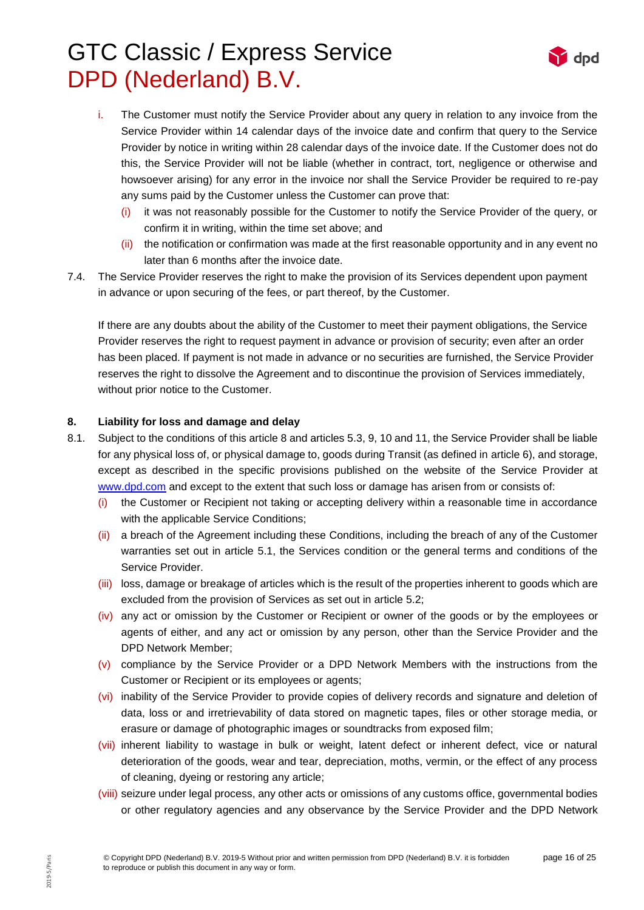

- i. The Customer must notify the Service Provider about any query in relation to any invoice from the Service Provider within 14 calendar days of the invoice date and confirm that query to the Service Provider by notice in writing within 28 calendar days of the invoice date. If the Customer does not do this, the Service Provider will not be liable (whether in contract, tort, negligence or otherwise and howsoever arising) for any error in the invoice nor shall the Service Provider be required to re-pay any sums paid by the Customer unless the Customer can prove that:
	- it was not reasonably possible for the Customer to notify the Service Provider of the query, or confirm it in writing, within the time set above; and
	- (ii) the notification or confirmation was made at the first reasonable opportunity and in any event no later than 6 months after the invoice date.
- 7.4. The Service Provider reserves the right to make the provision of its Services dependent upon payment in advance or upon securing of the fees, or part thereof, by the Customer.

If there are any doubts about the ability of the Customer to meet their payment obligations, the Service Provider reserves the right to request payment in advance or provision of security; even after an order has been placed. If payment is not made in advance or no securities are furnished, the Service Provider reserves the right to dissolve the Agreement and to discontinue the provision of Services immediately, without prior notice to the Customer.

### **8. Liability for loss and damage and delay**

- 8.1. Subject to the conditions of this article 8 and articles 5.3, 9, 10 and 11, the Service Provider shall be liable for any physical loss of, or physical damage to, goods during Transit (as defined in article 6), and storage, except as described in the specific provisions published on the website of the Service Provider at [www.dpd.com](http://www.dpd.com/) and except to the extent that such loss or damage has arisen from or consists of:
	- (i) the Customer or Recipient not taking or accepting delivery within a reasonable time in accordance with the applicable Service Conditions;
	- (ii) a breach of the Agreement including these Conditions, including the breach of any of the Customer warranties set out in article 5.1, the Services condition or the general terms and conditions of the Service Provider.
	- (iii) loss, damage or breakage of articles which is the result of the properties inherent to goods which are excluded from the provision of Services as set out in article 5.2;
	- (iv) any act or omission by the Customer or Recipient or owner of the goods or by the employees or agents of either, and any act or omission by any person, other than the Service Provider and the DPD Network Member;
	- $(v)$  compliance by the Service Provider or a DPD Network Members with the instructions from the Customer or Recipient or its employees or agents;
	- (vi) inability of the Service Provider to provide copies of delivery records and signature and deletion of data, loss or and irretrievability of data stored on magnetic tapes, files or other storage media, or erasure or damage of photographic images or soundtracks from exposed film;
	- (vii) inherent liability to wastage in bulk or weight, latent defect or inherent defect, vice or natural deterioration of the goods, wear and tear, depreciation, moths, vermin, or the effect of any process of cleaning, dyeing or restoring any article;
	- (viii) seizure under legal process, any other acts or omissions of any customs office, governmental bodies or other regulatory agencies and any observance by the Service Provider and the DPD Network

2019-5/Paris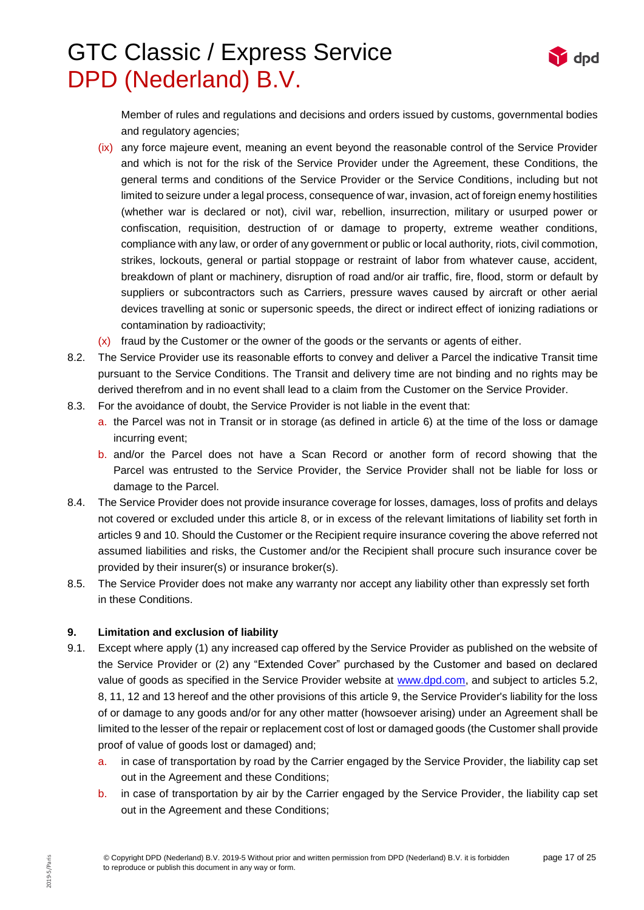

Member of rules and regulations and decisions and orders issued by customs, governmental bodies and regulatory agencies;

- (ix) any force majeure event, meaning an event beyond the reasonable control of the Service Provider and which is not for the risk of the Service Provider under the Agreement, these Conditions, the general terms and conditions of the Service Provider or the Service Conditions, including but not limited to seizure under a legal process, consequence of war, invasion, act of foreign enemy hostilities (whether war is declared or not), civil war, rebellion, insurrection, military or usurped power or confiscation, requisition, destruction of or damage to property, extreme weather conditions, compliance with any law, or order of any government or public or local authority, riots, civil commotion, strikes, lockouts, general or partial stoppage or restraint of labor from whatever cause, accident, breakdown of plant or machinery, disruption of road and/or air traffic, fire, flood, storm or default by suppliers or subcontractors such as Carriers, pressure waves caused by aircraft or other aerial devices travelling at sonic or supersonic speeds, the direct or indirect effect of ionizing radiations or contamination by radioactivity;
- (x) fraud by the Customer or the owner of the goods or the servants or agents of either.
- 8.2. The Service Provider use its reasonable efforts to convey and deliver a Parcel the indicative Transit time pursuant to the Service Conditions. The Transit and delivery time are not binding and no rights may be derived therefrom and in no event shall lead to a claim from the Customer on the Service Provider.
- 8.3. For the avoidance of doubt, the Service Provider is not liable in the event that:
	- a. the Parcel was not in Transit or in storage (as defined in article 6) at the time of the loss or damage incurring event;
	- b. and/or the Parcel does not have a Scan Record or another form of record showing that the Parcel was entrusted to the Service Provider, the Service Provider shall not be liable for loss or damage to the Parcel.
- 8.4. The Service Provider does not provide insurance coverage for losses, damages, loss of profits and delays not covered or excluded under this article 8, or in excess of the relevant limitations of liability set forth in articles 9 and 10. Should the Customer or the Recipient require insurance covering the above referred not assumed liabilities and risks, the Customer and/or the Recipient shall procure such insurance cover be provided by their insurer(s) or insurance broker(s).
- 8.5. The Service Provider does not make any warranty nor accept any liability other than expressly set forth in these Conditions.

### **9. Limitation and exclusion of liability**

- 9.1. Except where apply (1) any increased cap offered by the Service Provider as published on the website of the Service Provider or (2) any "Extended Cover" purchased by the Customer and based on declared value of goods as specified in the Service Provider website at [www.dpd.com,](http://www.dpd.com/) and subject to articles 5.2, 8, 11, 12 and 13 hereof and the other provisions of this article 9, the Service Provider's liability for the loss of or damage to any goods and/or for any other matter (howsoever arising) under an Agreement shall be limited to the lesser of the repair or replacement cost of lost or damaged goods (the Customer shall provide proof of value of goods lost or damaged) and;
	- a. in case of transportation by road by the Carrier engaged by the Service Provider, the liability cap set out in the Agreement and these Conditions;
	- b. in case of transportation by air by the Carrier engaged by the Service Provider, the liability cap set out in the Agreement and these Conditions;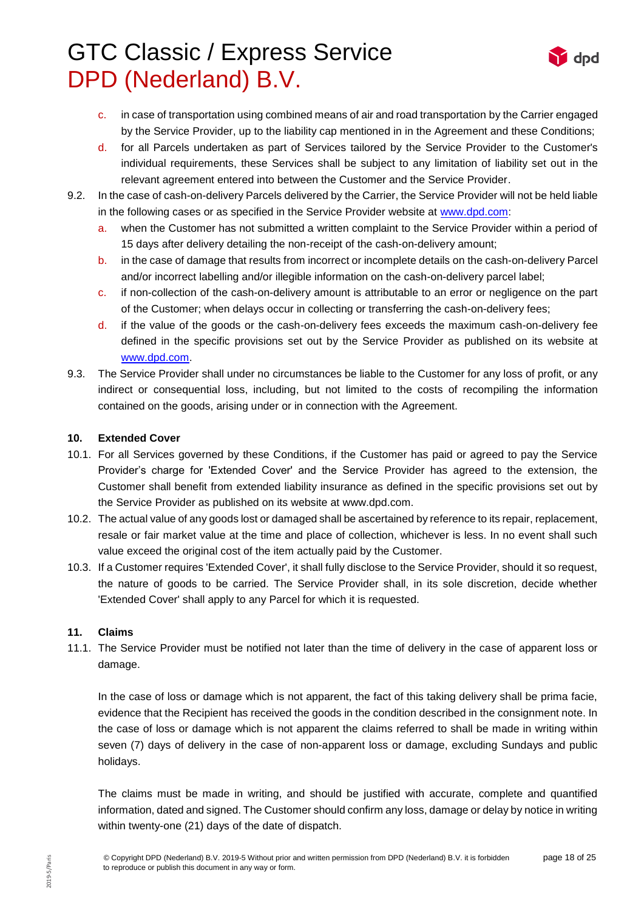

- c. in case of transportation using combined means of air and road transportation by the Carrier engaged by the Service Provider, up to the liability cap mentioned in in the Agreement and these Conditions;
- d. for all Parcels undertaken as part of Services tailored by the Service Provider to the Customer's individual requirements, these Services shall be subject to any limitation of liability set out in the relevant agreement entered into between the Customer and the Service Provider.
- 9.2. In the case of cash-on-delivery Parcels delivered by the Carrier, the Service Provider will not be held liable in the following cases or as specified in the Service Provider website at [www.dpd.com:](http://www.dpd.com/)
	- a. when the Customer has not submitted a written complaint to the Service Provider within a period of 15 days after delivery detailing the non-receipt of the cash-on-delivery amount;
	- b. in the case of damage that results from incorrect or incomplete details on the cash-on-delivery Parcel and/or incorrect labelling and/or illegible information on the cash-on-delivery parcel label;
	- c. if non-collection of the cash-on-delivery amount is attributable to an error or negligence on the part of the Customer; when delays occur in collecting or transferring the cash-on-delivery fees;
	- d. if the value of the goods or the cash-on-delivery fees exceeds the maximum cash-on-delivery fee defined in the specific provisions set out by the Service Provider as published on its website at [www.dpd.com.](http://www.dpd.com/)
- 9.3. The Service Provider shall under no circumstances be liable to the Customer for any loss of profit, or any indirect or consequential loss, including, but not limited to the costs of recompiling the information contained on the goods, arising under or in connection with the Agreement.

### **10. Extended Cover**

- 10.1. For all Services governed by these Conditions, if the Customer has paid or agreed to pay the Service Provider's charge for 'Extended Cover' and the Service Provider has agreed to the extension, the Customer shall benefit from extended liability insurance as defined in the specific provisions set out by the Service Provider as published on its website at www.dpd.com.
- 10.2. The actual value of any goods lost or damaged shall be ascertained by reference to its repair, replacement, resale or fair market value at the time and place of collection, whichever is less. In no event shall such value exceed the original cost of the item actually paid by the Customer.
- 10.3. If a Customer requires 'Extended Cover', it shall fully disclose to the Service Provider, should it so request, the nature of goods to be carried. The Service Provider shall, in its sole discretion, decide whether 'Extended Cover' shall apply to any Parcel for which it is requested.

#### **11. Claims**

11.1. The Service Provider must be notified not later than the time of delivery in the case of apparent loss or damage.

In the case of loss or damage which is not apparent, the fact of this taking delivery shall be prima facie, evidence that the Recipient has received the goods in the condition described in the consignment note. In the case of loss or damage which is not apparent the claims referred to shall be made in writing within seven (7) days of delivery in the case of non-apparent loss or damage, excluding Sundays and public holidays.

The claims must be made in writing, and should be justified with accurate, complete and quantified information, dated and signed. The Customer should confirm any loss, damage or delay by notice in writing within twenty-one (21) days of the date of dispatch.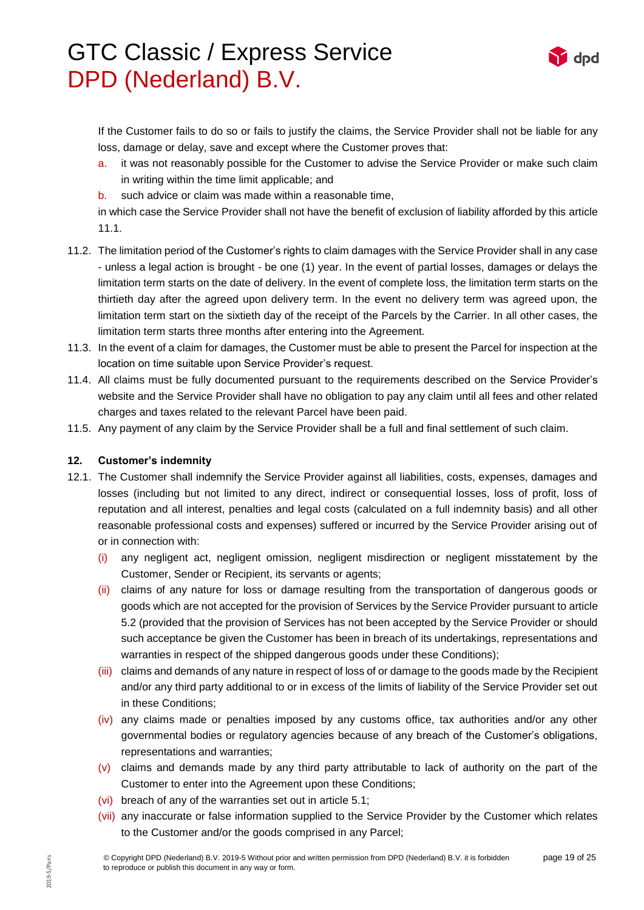d<sub>nd</sub>

If the Customer fails to do so or fails to justify the claims, the Service Provider shall not be liable for any loss, damage or delay, save and except where the Customer proves that:

- a. it was not reasonably possible for the Customer to advise the Service Provider or make such claim in writing within the time limit applicable; and
- b. such advice or claim was made within a reasonable time,

in which case the Service Provider shall not have the benefit of exclusion of liability afforded by this article 11.1.

- 11.2. The limitation period of the Customer's rights to claim damages with the Service Provider shall in any case - unless a legal action is brought - be one (1) year. In the event of partial losses, damages or delays the limitation term starts on the date of delivery. In the event of complete loss, the limitation term starts on the thirtieth day after the agreed upon delivery term. In the event no delivery term was agreed upon, the limitation term start on the sixtieth day of the receipt of the Parcels by the Carrier. In all other cases, the limitation term starts three months after entering into the Agreement.
- 11.3. In the event of a claim for damages, the Customer must be able to present the Parcel for inspection at the location on time suitable upon Service Provider's request.
- 11.4. All claims must be fully documented pursuant to the requirements described on the Service Provider's website and the Service Provider shall have no obligation to pay any claim until all fees and other related charges and taxes related to the relevant Parcel have been paid.
- 11.5. Any payment of any claim by the Service Provider shall be a full and final settlement of such claim.

### **12. Customer's indemnity**

- 12.1. The Customer shall indemnify the Service Provider against all liabilities, costs, expenses, damages and losses (including but not limited to any direct, indirect or consequential losses, loss of profit, loss of reputation and all interest, penalties and legal costs (calculated on a full indemnity basis) and all other reasonable professional costs and expenses) suffered or incurred by the Service Provider arising out of or in connection with:
	- (i) any negligent act, negligent omission, negligent misdirection or negligent misstatement by the Customer, Sender or Recipient, its servants or agents;
	- (ii) claims of any nature for loss or damage resulting from the transportation of dangerous goods or goods which are not accepted for the provision of Services by the Service Provider pursuant to article 5.2 (provided that the provision of Services has not been accepted by the Service Provider or should such acceptance be given the Customer has been in breach of its undertakings, representations and warranties in respect of the shipped dangerous goods under these Conditions);
	- (iii) claims and demands of any nature in respect of loss of or damage to the goods made by the Recipient and/or any third party additional to or in excess of the limits of liability of the Service Provider set out in these Conditions;
	- (iv) any claims made or penalties imposed by any customs office, tax authorities and/or any other governmental bodies or regulatory agencies because of any breach of the Customer's obligations, representations and warranties;
	- $(v)$  claims and demands made by any third party attributable to lack of authority on the part of the Customer to enter into the Agreement upon these Conditions;
	- (vi) breach of any of the warranties set out in article 5.1;
	- (vii) any inaccurate or false information supplied to the Service Provider by the Customer which relates to the Customer and/or the goods comprised in any Parcel;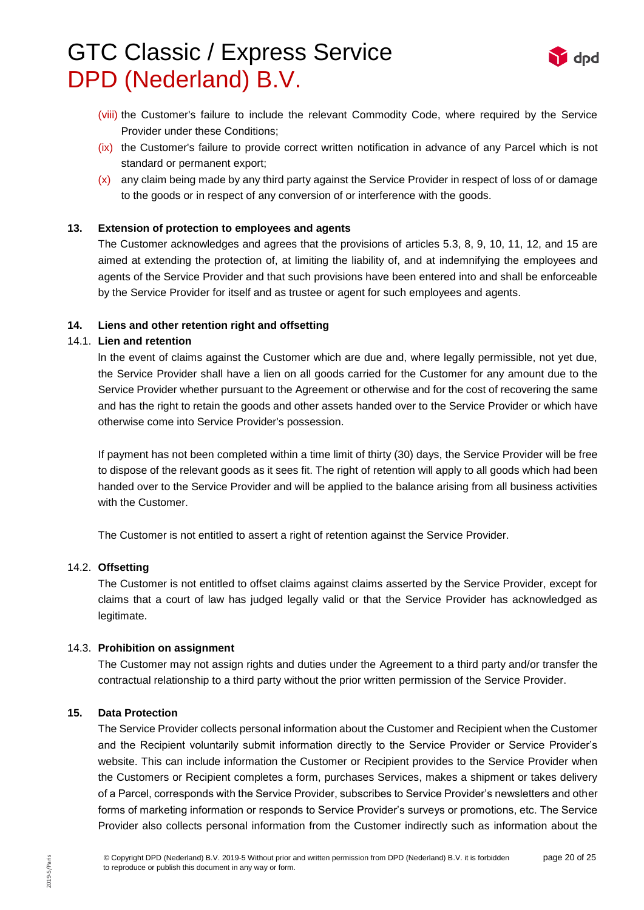

- (viii) the Customer's failure to include the relevant Commodity Code, where required by the Service Provider under these Conditions;
- (ix) the Customer's failure to provide correct written notification in advance of any Parcel which is not standard or permanent export;
- (x) any claim being made by any third party against the Service Provider in respect of loss of or damage to the goods or in respect of any conversion of or interference with the goods.

### **13. Extension of protection to employees and agents**

The Customer acknowledges and agrees that the provisions of articles 5.3, 8, 9, 10, 11, 12, and 15 are aimed at extending the protection of, at limiting the liability of, and at indemnifying the employees and agents of the Service Provider and that such provisions have been entered into and shall be enforceable by the Service Provider for itself and as trustee or agent for such employees and agents.

### **14. Liens and other retention right and offsetting**

### 14.1. **Lien and retention**

ln the event of claims against the Customer which are due and, where legally permissible, not yet due, the Service Provider shall have a lien on all goods carried for the Customer for any amount due to the Service Provider whether pursuant to the Agreement or otherwise and for the cost of recovering the same and has the right to retain the goods and other assets handed over to the Service Provider or which have otherwise come into Service Provider's possession.

If payment has not been completed within a time limit of thirty (30) days, the Service Provider will be free to dispose of the relevant goods as it sees fit. The right of retention will apply to all goods which had been handed over to the Service Provider and will be applied to the balance arising from all business activities with the Customer.

The Customer is not entitled to assert a right of retention against the Service Provider.

#### 14.2. **Offsetting**

The Customer is not entitled to offset claims against claims asserted by the Service Provider, except for claims that a court of law has judged legally valid or that the Service Provider has acknowledged as legitimate.

#### 14.3. **Prohibition on assignment**

The Customer may not assign rights and duties under the Agreement to a third party and/or transfer the contractual relationship to a third party without the prior written permission of the Service Provider.

#### **15. Data Protection**

The Service Provider collects personal information about the Customer and Recipient when the Customer and the Recipient voluntarily submit information directly to the Service Provider or Service Provider's website. This can include information the Customer or Recipient provides to the Service Provider when the Customers or Recipient completes a form, purchases Services, makes a shipment or takes delivery of a Parcel, corresponds with the Service Provider, subscribes to Service Provider's newsletters and other forms of marketing information or responds to Service Provider's surveys or promotions, etc. The Service Provider also collects personal information from the Customer indirectly such as information about the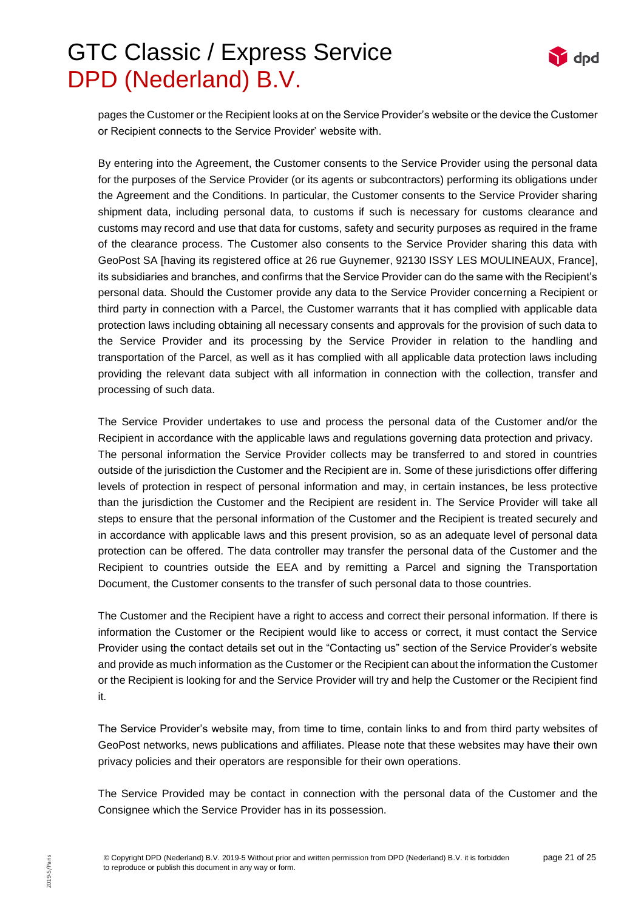

pages the Customer or the Recipient looks at on the Service Provider's website or the device the Customer or Recipient connects to the Service Provider' website with.

By entering into the Agreement, the Customer consents to the Service Provider using the personal data for the purposes of the Service Provider (or its agents or subcontractors) performing its obligations under the Agreement and the Conditions. In particular, the Customer consents to the Service Provider sharing shipment data, including personal data, to customs if such is necessary for customs clearance and customs may record and use that data for customs, safety and security purposes as required in the frame of the clearance process. The Customer also consents to the Service Provider sharing this data with GeoPost SA [having its registered office at 26 rue Guynemer, 92130 ISSY LES MOULINEAUX, France], its subsidiaries and branches, and confirms that the Service Provider can do the same with the Recipient's personal data. Should the Customer provide any data to the Service Provider concerning a Recipient or third party in connection with a Parcel, the Customer warrants that it has complied with applicable data protection laws including obtaining all necessary consents and approvals for the provision of such data to the Service Provider and its processing by the Service Provider in relation to the handling and transportation of the Parcel, as well as it has complied with all applicable data protection laws including providing the relevant data subject with all information in connection with the collection, transfer and processing of such data.

The Service Provider undertakes to use and process the personal data of the Customer and/or the Recipient in accordance with the applicable laws and regulations governing data protection and privacy. The personal information the Service Provider collects may be transferred to and stored in countries outside of the jurisdiction the Customer and the Recipient are in. Some of these jurisdictions offer differing levels of protection in respect of personal information and may, in certain instances, be less protective than the jurisdiction the Customer and the Recipient are resident in. The Service Provider will take all steps to ensure that the personal information of the Customer and the Recipient is treated securely and in accordance with applicable laws and this present provision, so as an adequate level of personal data protection can be offered. The data controller may transfer the personal data of the Customer and the Recipient to countries outside the EEA and by remitting a Parcel and signing the Transportation Document, the Customer consents to the transfer of such personal data to those countries.

The Customer and the Recipient have a right to access and correct their personal information. If there is information the Customer or the Recipient would like to access or correct, it must contact the Service Provider using the contact details set out in the "Contacting us" section of the Service Provider's website and provide as much information as the Customer or the Recipient can about the information the Customer or the Recipient is looking for and the Service Provider will try and help the Customer or the Recipient find it.

The Service Provider's website may, from time to time, contain links to and from third party websites of GeoPost networks, news publications and affiliates. Please note that these websites may have their own privacy policies and their operators are responsible for their own operations.

The Service Provided may be contact in connection with the personal data of the Customer and the Consignee which the Service Provider has in its possession.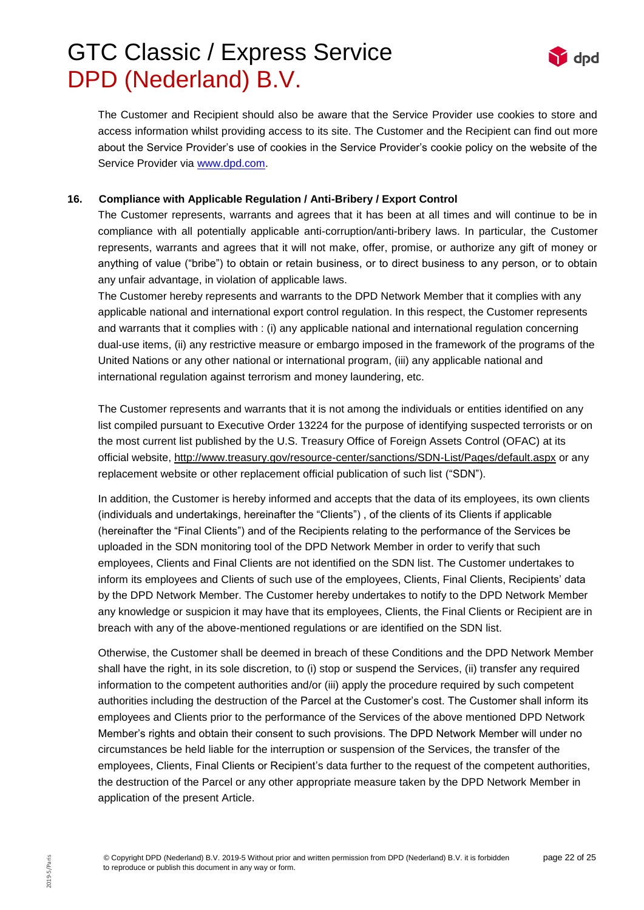

The Customer and Recipient should also be aware that the Service Provider use cookies to store and access information whilst providing access to its site. The Customer and the Recipient can find out more about the Service Provider's use of cookies in the Service Provider's cookie policy on the website of the Service Provider via [www.dpd.com.](http://www.dpd.com/)

#### **16. Compliance with Applicable Regulation / Anti-Bribery / Export Control**

The Customer represents, warrants and agrees that it has been at all times and will continue to be in compliance with all potentially applicable anti-corruption/anti-bribery laws. In particular, the Customer represents, warrants and agrees that it will not make, offer, promise, or authorize any gift of money or anything of value ("bribe") to obtain or retain business, or to direct business to any person, or to obtain any unfair advantage, in violation of applicable laws.

The Customer hereby represents and warrants to the DPD Network Member that it complies with any applicable national and international export control regulation. In this respect, the Customer represents and warrants that it complies with : (i) any applicable national and international regulation concerning dual-use items, (ii) any restrictive measure or embargo imposed in the framework of the programs of the United Nations or any other national or international program, (iii) any applicable national and international regulation against terrorism and money laundering, etc.

The Customer represents and warrants that it is not among the individuals or entities identified on any list compiled pursuant to Executive Order 13224 for the purpose of identifying suspected terrorists or on the most current list published by the U.S. Treasury Office of Foreign Assets Control (OFAC) at its official website,<http://www.treasury.gov/resource-center/sanctions/SDN-List/Pages/default.aspx> or any replacement website or other replacement official publication of such list ("SDN").

In addition, the Customer is hereby informed and accepts that the data of its employees, its own clients (individuals and undertakings, hereinafter the "Clients") , of the clients of its Clients if applicable (hereinafter the "Final Clients") and of the Recipients relating to the performance of the Services be uploaded in the SDN monitoring tool of the DPD Network Member in order to verify that such employees, Clients and Final Clients are not identified on the SDN list. The Customer undertakes to inform its employees and Clients of such use of the employees, Clients, Final Clients, Recipients' data by the DPD Network Member. The Customer hereby undertakes to notify to the DPD Network Member any knowledge or suspicion it may have that its employees, Clients, the Final Clients or Recipient are in breach with any of the above-mentioned regulations or are identified on the SDN list.

Otherwise, the Customer shall be deemed in breach of these Conditions and the DPD Network Member shall have the right, in its sole discretion, to (i) stop or suspend the Services, (ii) transfer any required information to the competent authorities and/or (iii) apply the procedure required by such competent authorities including the destruction of the Parcel at the Customer's cost. The Customer shall inform its employees and Clients prior to the performance of the Services of the above mentioned DPD Network Member's rights and obtain their consent to such provisions. The DPD Network Member will under no circumstances be held liable for the interruption or suspension of the Services, the transfer of the employees, Clients, Final Clients or Recipient's data further to the request of the competent authorities, the destruction of the Parcel or any other appropriate measure taken by the DPD Network Member in application of the present Article.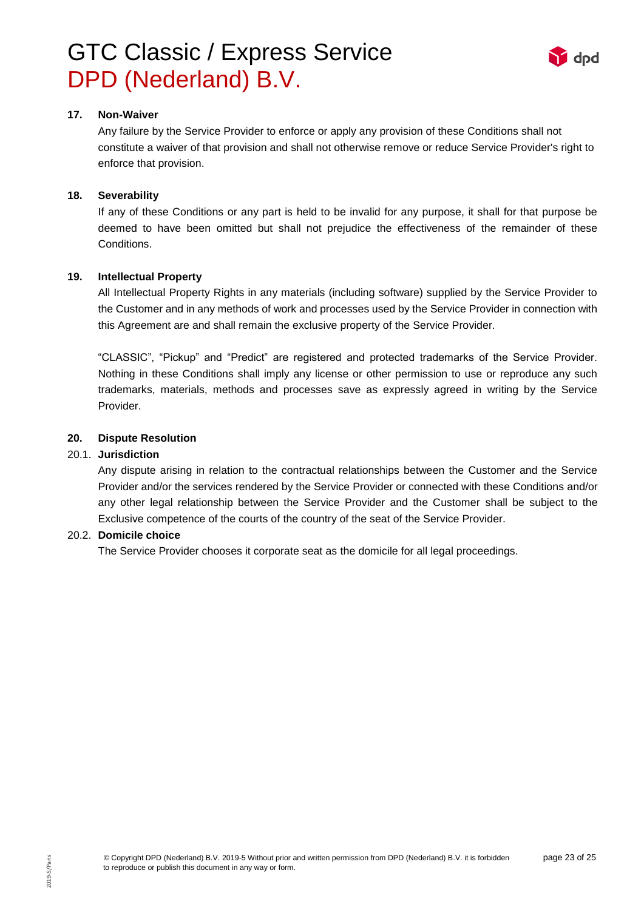

#### **17. Non-Waiver**

Any failure by the Service Provider to enforce or apply any provision of these Conditions shall not constitute a waiver of that provision and shall not otherwise remove or reduce Service Provider's right to enforce that provision.

#### **18. Severability**

If any of these Conditions or any part is held to be invalid for any purpose, it shall for that purpose be deemed to have been omitted but shall not prejudice the effectiveness of the remainder of these Conditions.

### **19. Intellectual Property**

All Intellectual Property Rights in any materials (including software) supplied by the Service Provider to the Customer and in any methods of work and processes used by the Service Provider in connection with this Agreement are and shall remain the exclusive property of the Service Provider.

"CLASSIC", "Pickup" and "Predict" are registered and protected trademarks of the Service Provider. Nothing in these Conditions shall imply any license or other permission to use or reproduce any such trademarks, materials, methods and processes save as expressly agreed in writing by the Service Provider.

### **20. Dispute Resolution**

### 20.1. **Jurisdiction**

Any dispute arising in relation to the contractual relationships between the Customer and the Service Provider and/or the services rendered by the Service Provider or connected with these Conditions and/or any other legal relationship between the Service Provider and the Customer shall be subject to the Exclusive competence of the courts of the country of the seat of the Service Provider.

#### 20.2. **Domicile choice**

The Service Provider chooses it corporate seat as the domicile for all legal proceedings.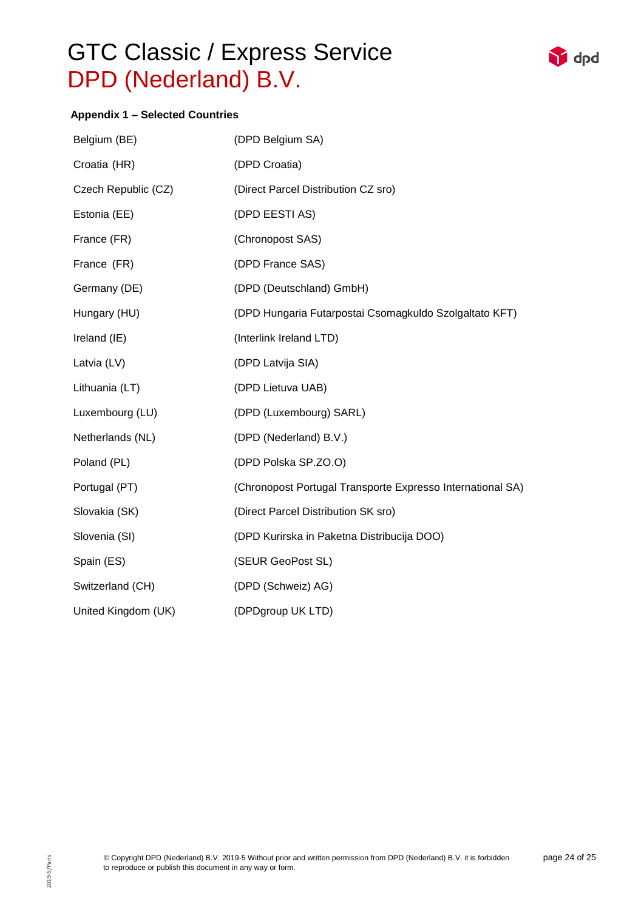

## **Appendix 1 – Selected Countries**

| Belgium (BE)        | (DPD Belgium SA)                                           |  |
|---------------------|------------------------------------------------------------|--|
| Croatia (HR)        | (DPD Croatia)                                              |  |
| Czech Republic (CZ) | (Direct Parcel Distribution CZ sro)                        |  |
| Estonia (EE)        | (DPD EESTI AS)                                             |  |
| France (FR)         | (Chronopost SAS)                                           |  |
| France (FR)         | (DPD France SAS)                                           |  |
| Germany (DE)        | (DPD (Deutschland) GmbH)                                   |  |
| Hungary (HU)        | (DPD Hungaria Futarpostai Csomagkuldo Szolgaltato KFT)     |  |
| Ireland (IE)        | (Interlink Ireland LTD)                                    |  |
| Latvia (LV)         | (DPD Latvija SIA)                                          |  |
| Lithuania (LT)      | (DPD Lietuva UAB)                                          |  |
| Luxembourg (LU)     | (DPD (Luxembourg) SARL)                                    |  |
| Netherlands (NL)    | (DPD (Nederland) B.V.)                                     |  |
| Poland (PL)         | (DPD Polska SP.ZO.O)                                       |  |
| Portugal (PT)       | (Chronopost Portugal Transporte Expresso International SA) |  |
| Slovakia (SK)       | (Direct Parcel Distribution SK sro)                        |  |
| Slovenia (SI)       | (DPD Kurirska in Paketna Distribucija DOO)                 |  |
| Spain (ES)          | (SEUR GeoPost SL)                                          |  |
| Switzerland (CH)    | (DPD (Schweiz) AG)                                         |  |
| United Kingdom (UK) | (DPDgroup UK LTD)                                          |  |